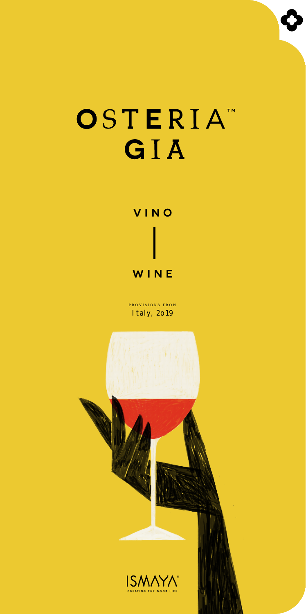# OSTERIAT GIA



PROVISIONS FROM Italy, 2019

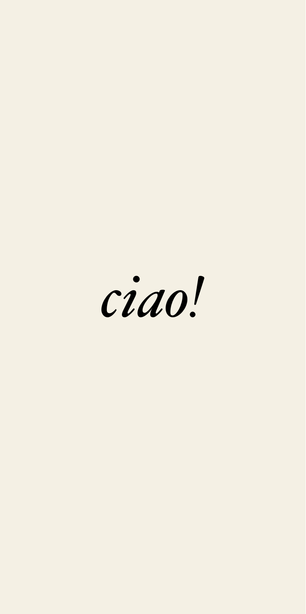ciao!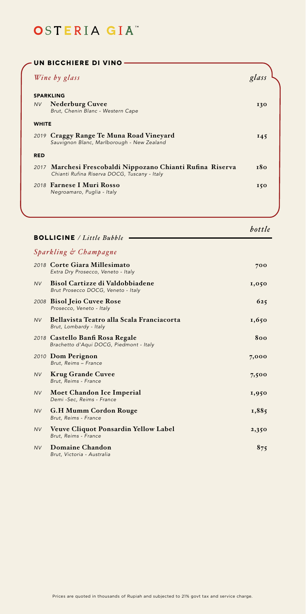|              | UN BICCHIERE DI VINO                                                                                       |        |
|--------------|------------------------------------------------------------------------------------------------------------|--------|
|              | Wine by glass                                                                                              | glass  |
|              | <b>SPARKLING</b>                                                                                           |        |
| <b>NV</b>    | <b>Nederburg Cuvee</b><br>Brut, Chenin Blanc - Western Cape                                                | 130    |
| <b>WHITE</b> |                                                                                                            |        |
|              | 2019 Craggy Range Te Muna Road Vineyard<br>Sauvignon Blanc, Marlborough - New Zealand                      | 145    |
| <b>RED</b>   |                                                                                                            |        |
|              | 2017 Marchesi Frescobaldi Nippozano Chianti Rufina Riserva<br>Chianti Rufina Riserva DOCG, Tuscany - Italy | 180    |
|              | 2018 Farnese I Muri Rosso<br>Negroamaro, Puglia - Italy                                                    | 150    |
|              |                                                                                                            |        |
|              | <b>BOLLICINE</b> / Little Bubble                                                                           | bottle |
|              | Sparkling & Champagne                                                                                      |        |
|              | 2018 Corte Giara Millesimato<br>Extra Dry Prosecco, Veneto - Italy                                         | 700    |
| <b>NV</b>    | <b>Bisol Cartizze di Valdobbiadene</b><br>Brut Prosecco DOCG, Veneto - Italy                               | 1,050  |
|              | 2008 Bisol Jeio Cuvee Rose<br>Prosecco, Veneto - Italy                                                     | 625    |
| <b>NV</b>    | Bellavista Teatro alla Scala Franciacorta<br>Brut, Lombardy - Italy                                        | 1,650  |
|              | 2018 Castello Banfi Rosa Regale<br>Brachetto d'Aqui DOCG, Piedmont - Italy                                 | 800    |
|              | 2010 Dom Perignon<br>Brut, Reims - France                                                                  | 7,000  |
| <b>NV</b>    | <b>Krug Grande Cuvee</b><br>Brut, Reims - France                                                           | 7,500  |
| <b>NV</b>    | Moet Chandon Ice Imperial<br>Demi-Sec, Reims - France                                                      | 1,950  |
| <b>NV</b>    | <b>G.H Mumm Cordon Rouge</b><br>Brut, Reims - France                                                       | 1,885  |
| <b>NV</b>    | Veuve Cliquot Ponsardin Yellow Label<br>Brut, Reims - France                                               | 2,350  |
| <b>NV</b>    | Domaine Chandon<br>Brut, Victoria - Australia                                                              | 875    |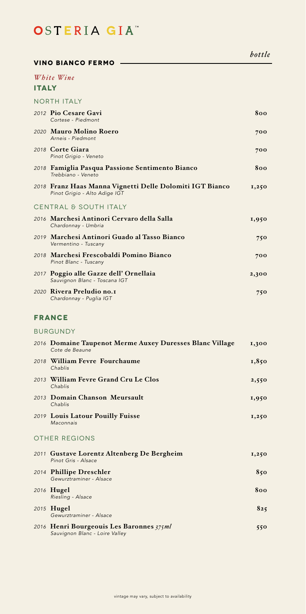#### **Vino bianco fermo**

### **ITALY**  *White Wine*

| <b>NORTH ITALY</b>                                                                        |       |
|-------------------------------------------------------------------------------------------|-------|
| 2012 Pio Cesare Gavi<br>Cortese - Piedmont                                                | 800   |
| 2020 Mauro Molino Roero<br>Arneis - Piedmont                                              | 700   |
| 2018 Corte Giara<br>Pinot Grigio - Veneto                                                 | 700   |
| 2018 Famiglia Pasqua Passione Sentimento Bianco<br>Trebbiano - Veneto                     | 800   |
| 2018 Franz Haas Manna Vignetti Delle Dolomiti IGT Bianco<br>Pinot Grigio - Alto Adige IGT | 1,250 |
| CENTRAL & SOUTH ITALY                                                                     |       |
| 2016 Marchesi Antinori Cervaro della Salla<br>Chardonnay - Umbria                         | 1,950 |
| 2019 Marchesi Antinori Guado al Tasso Bianco<br>Vermentino - Tuscany                      | 750   |
| 2018 Marchesi Frescobaldi Pomino Bianco<br>Pinot Blanc - Tuscany                          | 700   |
| 2017 Poggio alle Gazze dell' Ornellaia<br>Sauvignon Blanc - Toscana IGT                   | 2,300 |
| 2020 Rivera Preludio no.1<br>Chardonnay - Puglia IGT                                      | 750   |
|                                                                                           |       |

## **France**

#### Burgundy

| 2016 Domaine Taupenot Merme Auxey Duresses Blanc Village<br>Cote de Beaune | 1,300 |
|----------------------------------------------------------------------------|-------|
| 2018 William Fevre Fourchaume<br>Chablis                                   | 1,850 |
| 2013 William Fevre Grand Cru Le Clos<br>Chablis                            | 2,550 |
| 2013 Domain Chanson Meursault<br>Chablis                                   | 1,950 |
| 2019 Louis Latour Pouilly Fuisse<br>Maconnais                              | 1,250 |
| <b>OTHER REGIONS</b>                                                       |       |
| 2011 Gustave Lorentz Altenberg De Bergheim<br>Pinot Gris - Alsace          | 1,250 |
| 2014 Phillipe Dreschler<br>Gewurztraminer - Alsace                         | 850   |
| 2016 Hugel<br>Riesling - Alsace                                            | 800   |
| 2015 <b>Hugel</b><br>Gewurztraminer - Alsace                               | 825   |
| 2016 Henri Bourgeouis Les Baronnes 375ml<br>Sauvignon Blanc - Loire Valley | 550   |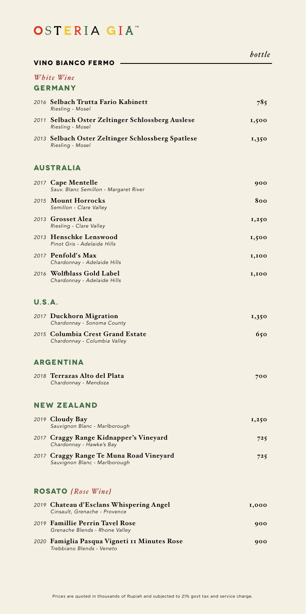### **Vino bianco fermo**

#### **GERMANY** *White Wine*

| 2016 Selbach Trutta Fario Kabinett<br>Riesling - Mosel                | 785   |  |
|-----------------------------------------------------------------------|-------|--|
| 2011 Selbach Oster Zeltinger Schlossberg Auslese<br>Riesling - Mosel  | 1,500 |  |
| 2013 Selbach Oster Zeltinger Schlossberg Spatlese<br>Riesling - Mosel | 1,350 |  |

### **Australia**

|               | 2017 Cape Mentelle<br>Sauv. Blanc Semillon - Margaret River              | 900   |
|---------------|--------------------------------------------------------------------------|-------|
|               | 2015 Mount Horrocks<br>Semillon - Clare Valley                           | 800   |
|               | 2013 Grosset Alea<br>Riesling - Clare Valley                             | 1,250 |
|               | 2013 Henschke Lenswood<br>Pinot Gris - Adelaide Hills                    | 1,500 |
|               | 2017 Penfold's Max<br>Chardonnay - Adelaide Hills                        | 1,100 |
|               | 2016 Wolfblass Gold Label<br>Chardonnay - Adelaide Hills                 | 1,100 |
| <b>U.S.A.</b> |                                                                          |       |
|               | 2017 Duckhorn Migration<br>Chardonnay - Sonoma County                    | 1,350 |
|               | 2015 Columbia Crest Grand Estate<br>Chardonnay - Columbia Valley         | 650   |
|               | <b>ARGENTINA</b>                                                         |       |
|               | 2018 Terrazas Alto del Plata<br>Chardonnay - Mendoza                     | 700   |
|               | <b>NEW ZEALAND</b>                                                       |       |
|               | 2019 Cloudy Bay<br>Sauvignon Blanc - Marlborough                         | 1,250 |
|               | 2017 Craggy Range Kidnapper's Vineyard<br>Chardonnay - Hawke's Bay       | 725   |
|               | 2017 Craggy Range Te Muna Road Vineyard<br>Sauvignon Blanc - Marlborough | 725   |
|               | <b>ROSATO</b> {Rose Wine}                                                |       |
|               | 2019 Chateau d'Esclans Whispering Angel<br>Cinsault, Grenache - Provence | 1,000 |

| Chisduit, Orenache - Frovence                                             |     |
|---------------------------------------------------------------------------|-----|
| 2019 Famillie Perrin Tavel Rose<br>Grenache Blends - Rhone Valley         | 900 |
| 2020 Famiglia Pasqua Vigneti 11 Minutes Rose<br>Trebbiano Blends - Veneto | 900 |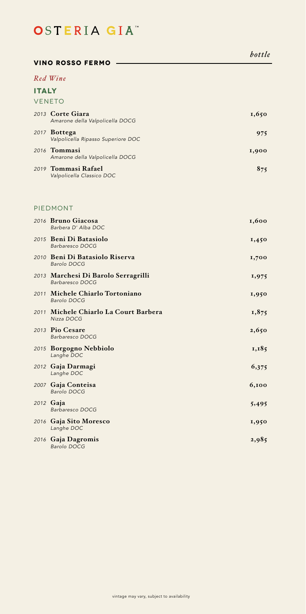## *bottle Red Wine* **Italy** *2013* **Corte Giara 1,650**  *Amarone della Valpolicella DOCG 2017* **Bottega 975**  *Valpolicella Ripasso Superiore DOC 2016* **Tommasi 1,900**  *Amarone della Valpolicella DOCG 2019* **Tommasi Rafael 875**  *Valpolicella Classico DOC* **Vino rosso fermo VENETO** *2016* **Bruno Giacosa 1,600**  *Barbera D' Alba DOC 2015* **Beni Di Batasiolo 1,450**  *Barbaresco DOCG 2010* **Beni Di Batasiolo Riserva 1,700**  *Barolo DOCG 2013* **Marchesi Di Barolo Serragrilli 1,975**  *Barbaresco DOCG 2011* **Michele Chiarlo Tortoniano 1,950**  *Barolo DOCG* 2011 Michele Chiarlo La Court Barbera 1,875  *Nizza DOCG 2013* **Pio Cesare 2,650**  *Barbaresco DOCG 2015* **Borgogno Nebbiolo 1,185**  *Langhe DOC 2012* **Gaja Darmagi 6,375**  *Langhe DOC 2007* **Gaja Conteisa 6,100**  *Barolo DOCG 2012* **Gaja 5,495**  *Barbaresco DOCG 2016* **Gaja Sito Moresco 1,950** *Langhe DOC 2016* **Gaja Dagromis 2,985** PIEDMONT

 *Barolo DOCG*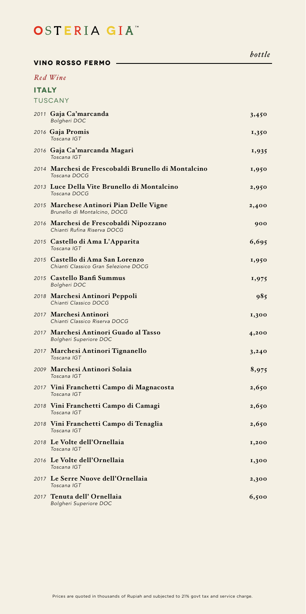#### **Vino rosso fermo**

### *Red Wine*

| <b>TUSCANY</b>                                                           |       |
|--------------------------------------------------------------------------|-------|
| 2011 Gaja Ca'marcanda<br>Bolgheri DOC                                    | 3,450 |
| 2016 Gaja Promis<br>Toscana IGT                                          | 1,350 |
| 2016 Gaja Ca'marcanda Magari<br>Toscana IGT                              | 1,935 |
| 2014 Marchesi de Frescobaldi Brunello di Montalcino<br>Toscana DOCG      | 1,950 |
| 2013 Luce Della Vite Brunello di Montalcino<br>Toscana DOCG              | 2,950 |
| 2015 Marchese Antinori Pian Delle Vigne<br>Brunello di Montalcino, DOCG  | 2,400 |
| 2016 Marchesi de Frescobaldi Nipozzano<br>Chianti Rufina Riserva DOCG    | 900   |
| 2015 Castello di Ama L'Apparita<br>Toscana IGT                           | 6,695 |
| 2015 Castello di Ama San Lorenzo<br>Chianti Classico Gran Selezione DOCG | 1,950 |
| 2015 Castello Banfi Summus<br><b>Bolgheri DOC</b>                        | 1,975 |
| 2018 Marchesi Antinori Peppoli<br>Chianti Classico DOCG                  | 985   |
| 2017 Marchesi Antinori<br>Chianti Classico Riserva DOCG                  | 1,300 |
| 2017 Marchesi Antinori Guado al Tasso<br><b>Bolgheri Superiore DOC</b>   | 4,200 |
| 2017 Marchesi Antinori Tignanello<br>Toscana IGT                         | 3,240 |
| 2009 Marchesi Antinori Solaia<br>Toscana IGT                             | 8,975 |
| 2017 Vini Franchetti Campo di Magnacosta<br>Toscana IGT                  | 2,650 |
| 2018 Vini Franchetti Campo di Camagi<br>Toscana IGT                      | 2,650 |
| 2018 Vini Franchetti Campo di Tenaglia<br>Toscana IGT                    | 2,650 |
| 2018 Le Volte dell'Ornellaia<br>Toscana IGT                              | 1,200 |
| 2016 Le Volte dell'Ornellaia<br>Toscana IGT                              | 1,300 |
| 2017 Le Serre Nuove dell'Ornellaia<br>Toscana IGT                        | 2,300 |
| 2017 Tenuta dell' Ornellaia<br><b>Bolgheri Superiore DOC</b>             | 6,500 |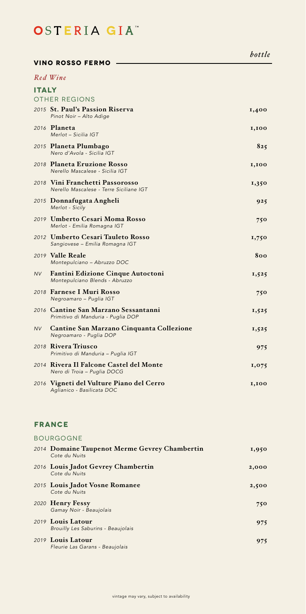| VINO ROSSO FERMO                                                    |                                                                                                                                                                                                                                                                                                                                                                                                                                                                                                            |  |  |
|---------------------------------------------------------------------|------------------------------------------------------------------------------------------------------------------------------------------------------------------------------------------------------------------------------------------------------------------------------------------------------------------------------------------------------------------------------------------------------------------------------------------------------------------------------------------------------------|--|--|
|                                                                     |                                                                                                                                                                                                                                                                                                                                                                                                                                                                                                            |  |  |
|                                                                     |                                                                                                                                                                                                                                                                                                                                                                                                                                                                                                            |  |  |
|                                                                     |                                                                                                                                                                                                                                                                                                                                                                                                                                                                                                            |  |  |
| Pinot Noir - Alto Adige                                             | 1,400                                                                                                                                                                                                                                                                                                                                                                                                                                                                                                      |  |  |
| Merlot - Sicilia IGT                                                | 1,100                                                                                                                                                                                                                                                                                                                                                                                                                                                                                                      |  |  |
| Nero d'Avola - Sicilia IGT                                          | 825                                                                                                                                                                                                                                                                                                                                                                                                                                                                                                        |  |  |
| Nerello Mascalese - Sicilia IGT                                     | 1,100                                                                                                                                                                                                                                                                                                                                                                                                                                                                                                      |  |  |
| Nerello Mascalese - Terre Siciliane IGT                             | 1,350                                                                                                                                                                                                                                                                                                                                                                                                                                                                                                      |  |  |
| Merlot - Sicily                                                     | 925                                                                                                                                                                                                                                                                                                                                                                                                                                                                                                        |  |  |
| Merlot - Emilia Romagna IGT                                         | 750                                                                                                                                                                                                                                                                                                                                                                                                                                                                                                        |  |  |
| Sangiovese - Emilia Romagna IGT                                     | 1,750                                                                                                                                                                                                                                                                                                                                                                                                                                                                                                      |  |  |
| Montepulciano - Abruzzo DOC                                         | 800                                                                                                                                                                                                                                                                                                                                                                                                                                                                                                        |  |  |
| Fantini Edizione Cinque Autoctoni<br>Montepulciano Blends - Abruzzo | 1,525                                                                                                                                                                                                                                                                                                                                                                                                                                                                                                      |  |  |
| Negroamaro - Puglia IGT                                             | 750                                                                                                                                                                                                                                                                                                                                                                                                                                                                                                        |  |  |
| Primitivo di Manduria - Puglia DOP                                  | 1,525                                                                                                                                                                                                                                                                                                                                                                                                                                                                                                      |  |  |
| Cantine San Marzano Cinquanta Collezione<br>Negroamaro - Puglia DOP | 1,525                                                                                                                                                                                                                                                                                                                                                                                                                                                                                                      |  |  |
| Primitivo di Manduria - Puglia IGT                                  | 975                                                                                                                                                                                                                                                                                                                                                                                                                                                                                                        |  |  |
| Nero di Troia - Puglia DOCG                                         | 1,075                                                                                                                                                                                                                                                                                                                                                                                                                                                                                                      |  |  |
| Aglianico - Basilicata DOC                                          | 1,100                                                                                                                                                                                                                                                                                                                                                                                                                                                                                                      |  |  |
|                                                                     | Red Wine<br><b>ITALY</b><br>OTHER REGIONS<br>2015 St. Paul's Passion Riserva<br>2016 <b>Planeta</b><br>2015 Planeta Plumbago<br>2018 Planeta Eruzione Rosso<br>2018 Vini Franchetti Passorosso<br>2015 Donnafugata Angheli<br>2019 Umberto Cesari Moma Rosso<br>2012 Umberto Cesari Tauleto Rosso<br>2019 Valle Reale<br>2018 Farnese I Muri Rosso<br>2016 Cantine San Marzano Sessantanni<br>2018 Rivera Triusco<br>2014   Rivera Il Falcone Castel del Monte<br>2016 Vigneti del Vulture Piano del Cerro |  |  |

### **France**

| <b>BOURGOGNE</b>                                               |       |
|----------------------------------------------------------------|-------|
| 2014 Domaine Taupenot Merme Gevrey Chambertin<br>Cote du Nuits | 1,950 |
| 2016 Louis Jadot Gevrey Chambertin<br>Cote du Nuits            | 2,000 |
| 2015 Louis Jadot Vosne Romanee<br>Cote du Nuits                | 2,500 |
| 2020 Henry Fessy<br>Gamay Noir - Beaujolais                    | 750   |
| 2019 Louis Latour<br>Brouilly Les Saburins - Beaujolais        | 975   |
| 2019 Louis Latour<br>Fleurie Las Garans - Beaujolais           | 975   |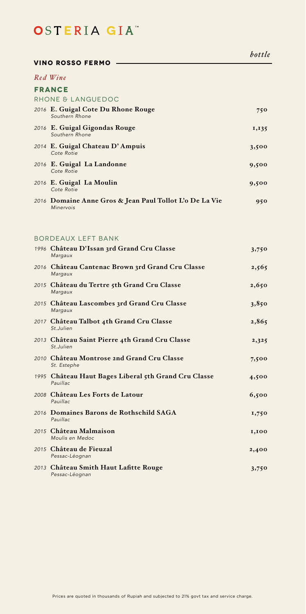| bottle |
|--------|
|--------|

| <b>VINO ROSSO FERMO</b>                                              |       |
|----------------------------------------------------------------------|-------|
| Red Wine                                                             |       |
| <b>FRANCE</b>                                                        |       |
| RHONE & LANGUEDOC                                                    |       |
| 2016 E. Guigal Cote Du Rhone Rouge<br>Southern Rhone                 | 750   |
| 2016 E. Guigal Gigondas Rouge<br>Southern Rhone                      | 1,135 |
| 2014 E. Guigal Chateau D'Ampuis<br>Cote Rotie                        | 3,500 |
| 2016 E. Guigal La Landonne<br>Cote Rotie                             | 9,500 |
| 2016 E. Guigal La Moulin<br>Cote Rotie                               | 9,500 |
| 2016 Domaine Anne Gros & Jean Paul Tollot L'o De La Vie<br>Minervois | 950   |
|                                                                      |       |

### Bordeaux Left Bank

| 1996 Château D'Issan 3rd Grand Cru Classe<br>Margaux             | 3,750 |
|------------------------------------------------------------------|-------|
| 2016 Château Cantenac Brown 3rd Grand Cru Classe<br>Margaux      | 2,565 |
| 2015 Château du Tertre 5th Grand Cru Classe<br>Margaux           | 2,650 |
| 2015 Château Lascombes 3rd Grand Cru Classe<br>Margaux           | 3,850 |
| 2017 Château Talbot 4th Grand Cru Classe<br>St.Julien            | 2,865 |
| 2013 Château Saint Pierre 4th Grand Cru Classe<br>St.Julien      | 2,325 |
| 2010 Château Montrose 2nd Grand Cru Classe<br>St. Estephe        | 7,500 |
| 1995 Château Haut Bages Liberal 5th Grand Cru Classe<br>Pauillac | 4,500 |
| 2008 Château Les Forts de Latour<br>Pauillac                     | 6,500 |
| 2016 Domaines Barons de Rothschild SAGA<br>Pauillac              | 1,750 |
| 2015 Château Malmaison<br>Moulis en Medoc                        | 1,100 |
| 2015 Château de Fieuzal<br>Pessac-Léognan                        | 2,400 |
| 2013 Château Smith Haut Lafitte Rouge<br>Pessac-Léognan          | 3,750 |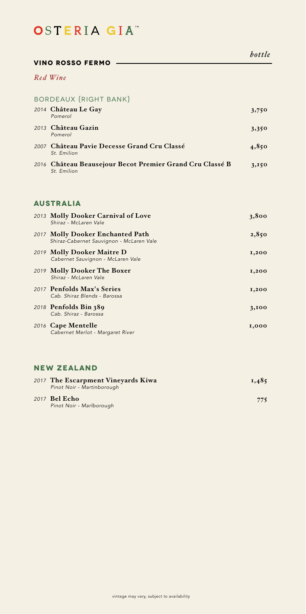#### **Vino rosso fermo**

### *Red Wine*

### Bordeaux {Right Bank} *2014* **Château Le Gay 3,750**

| Pomerol                                                                 |       |
|-------------------------------------------------------------------------|-------|
| 2013 Château Gazin<br>Pomerol                                           | 3,350 |
| 2007 Château Pavie Decesse Grand Cru Classé<br>St. Emilion              | 4,850 |
| 2016 Château Beausejour Becot Premier Grand Cru Classé B<br>St. Emilion | 3,150 |

### **Australia**

| 2013 Molly Dooker Carnival of Love<br>Shiraz - McLaren Vale                  | 3,800 |
|------------------------------------------------------------------------------|-------|
| 2017 Molly Dooker Enchanted Path<br>Shiraz-Cabernet Sauvignon - McLaren Vale | 2,850 |
| 2019 Molly Dooker Maitre D<br>Cabernet Sauvignon - McLaren Vale              | 1,200 |
| 2019 Molly Dooker The Boxer<br>Shiraz - McLaren Vale                         | 1,200 |
| 2017 Penfolds Max's Series<br>Cab. Shiraz Blends - Barossa                   | 1,200 |
| 2018 Penfolds Bin 389<br>Cab. Shiraz - Barossa                               | 3,100 |
| 2016 Cape Mentelle<br>Cabernet Merlot - Margaret River                       | 1,000 |

# **NEw Zealand**

| 2017 The Escarpment Vineyards Kiwa<br>Pinot Noir - Martinborough | 1,485 |
|------------------------------------------------------------------|-------|
| 2017 <b>Bel Echo</b><br>Pinot Noir - Marlborough                 | 775   |